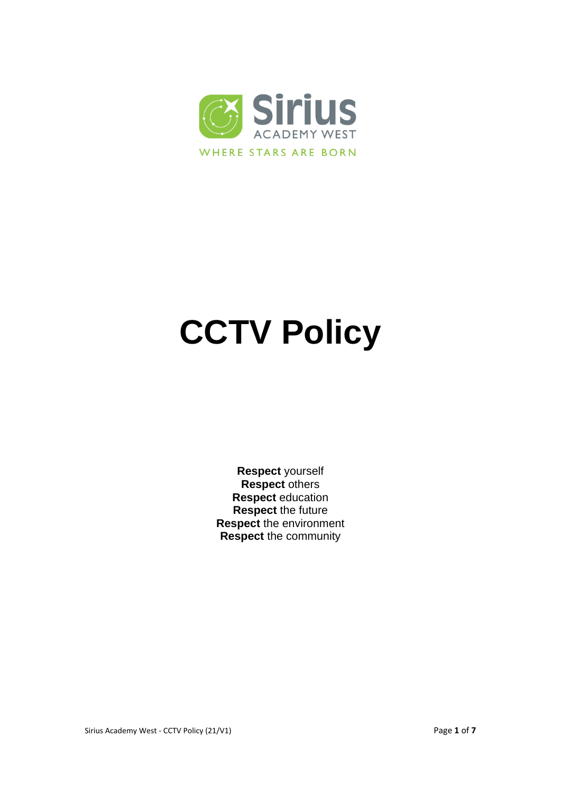

# **CCTV Policy**

**Respect** yourself **Respect** others **Respect** education **Respect** the future **Respect** the environment **Respect** the community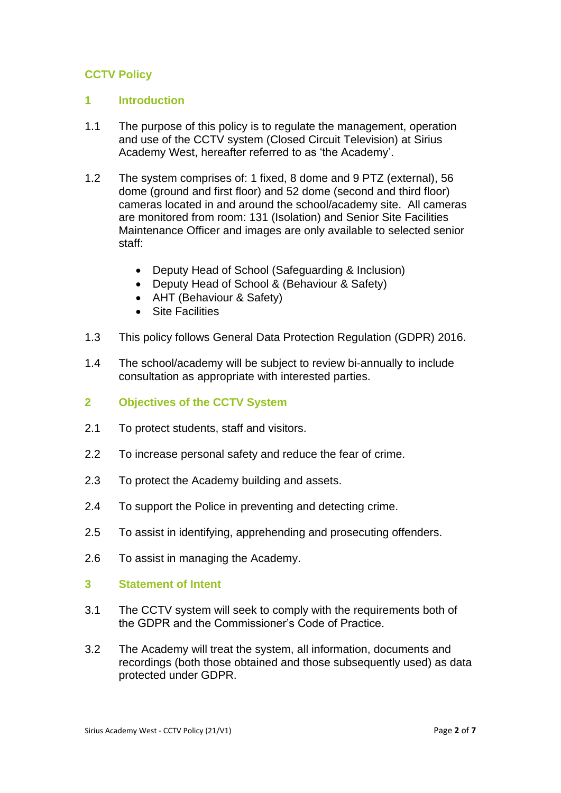# **CCTV Policy**

#### **1 Introduction**

- 1.1 The purpose of this policy is to regulate the management, operation and use of the CCTV system (Closed Circuit Television) at Sirius Academy West, hereafter referred to as 'the Academy'.
- 1.2 The system comprises of: 1 fixed, 8 dome and 9 PTZ (external), 56 dome (ground and first floor) and 52 dome (second and third floor) cameras located in and around the school/academy site. All cameras are monitored from room: 131 (Isolation) and Senior Site Facilities Maintenance Officer and images are only available to selected senior staff:
	- Deputy Head of School (Safeguarding & Inclusion)
	- Deputy Head of School & (Behaviour & Safety)
	- AHT (Behaviour & Safety)
	- Site Facilities
- 1.3 This policy follows General Data Protection Regulation (GDPR) 2016.
- 1.4 The school/academy will be subject to review bi-annually to include consultation as appropriate with interested parties.
- **2 Objectives of the CCTV System**
- 2.1 To protect students, staff and visitors.
- 2.2 To increase personal safety and reduce the fear of crime.
- 2.3 To protect the Academy building and assets.
- 2.4 To support the Police in preventing and detecting crime.
- 2.5 To assist in identifying, apprehending and prosecuting offenders.
- 2.6 To assist in managing the Academy.
- **3 Statement of Intent**
- 3.1 The CCTV system will seek to comply with the requirements both of the GDPR and the Commissioner's Code of Practice.
- 3.2 The Academy will treat the system, all information, documents and recordings (both those obtained and those subsequently used) as data protected under GDPR.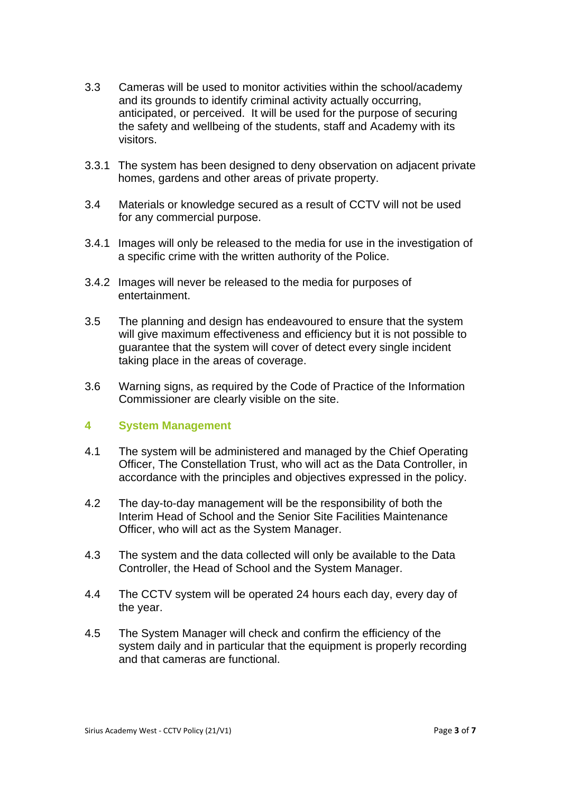- 3.3 Cameras will be used to monitor activities within the school/academy and its grounds to identify criminal activity actually occurring, anticipated, or perceived. It will be used for the purpose of securing the safety and wellbeing of the students, staff and Academy with its visitors.
- 3.3.1 The system has been designed to deny observation on adjacent private homes, gardens and other areas of private property.
- 3.4 Materials or knowledge secured as a result of CCTV will not be used for any commercial purpose.
- 3.4.1 Images will only be released to the media for use in the investigation of a specific crime with the written authority of the Police.
- 3.4.2 Images will never be released to the media for purposes of entertainment.
- 3.5 The planning and design has endeavoured to ensure that the system will give maximum effectiveness and efficiency but it is not possible to guarantee that the system will cover of detect every single incident taking place in the areas of coverage.
- 3.6 Warning signs, as required by the Code of Practice of the Information Commissioner are clearly visible on the site.

## **4 System Management**

- 4.1 The system will be administered and managed by the Chief Operating Officer, The Constellation Trust, who will act as the Data Controller, in accordance with the principles and objectives expressed in the policy.
- 4.2 The day-to-day management will be the responsibility of both the Interim Head of School and the Senior Site Facilities Maintenance Officer, who will act as the System Manager.
- 4.3 The system and the data collected will only be available to the Data Controller, the Head of School and the System Manager.
- 4.4 The CCTV system will be operated 24 hours each day, every day of the year.
- 4.5 The System Manager will check and confirm the efficiency of the system daily and in particular that the equipment is properly recording and that cameras are functional.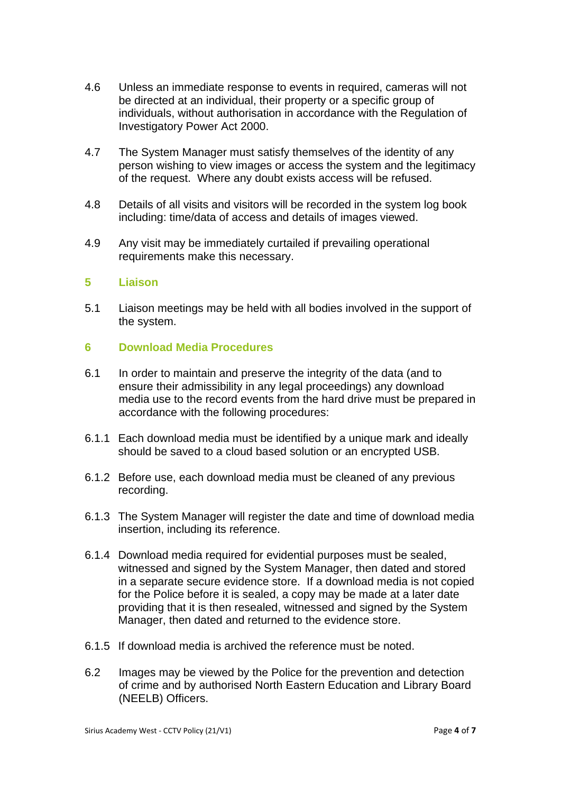- 4.6 Unless an immediate response to events in required, cameras will not be directed at an individual, their property or a specific group of individuals, without authorisation in accordance with the Regulation of Investigatory Power Act 2000.
- 4.7 The System Manager must satisfy themselves of the identity of any person wishing to view images or access the system and the legitimacy of the request. Where any doubt exists access will be refused.
- 4.8 Details of all visits and visitors will be recorded in the system log book including: time/data of access and details of images viewed.
- 4.9 Any visit may be immediately curtailed if prevailing operational requirements make this necessary.

#### **5 Liaison**

5.1 Liaison meetings may be held with all bodies involved in the support of the system.

#### **6 Download Media Procedures**

- 6.1 In order to maintain and preserve the integrity of the data (and to ensure their admissibility in any legal proceedings) any download media use to the record events from the hard drive must be prepared in accordance with the following procedures:
- 6.1.1 Each download media must be identified by a unique mark and ideally should be saved to a cloud based solution or an encrypted USB.
- 6.1.2 Before use, each download media must be cleaned of any previous recording.
- 6.1.3 The System Manager will register the date and time of download media insertion, including its reference.
- 6.1.4 Download media required for evidential purposes must be sealed, witnessed and signed by the System Manager, then dated and stored in a separate secure evidence store. If a download media is not copied for the Police before it is sealed, a copy may be made at a later date providing that it is then resealed, witnessed and signed by the System Manager, then dated and returned to the evidence store.
- 6.1.5 If download media is archived the reference must be noted.
- 6.2 Images may be viewed by the Police for the prevention and detection of crime and by authorised North Eastern Education and Library Board (NEELB) Officers.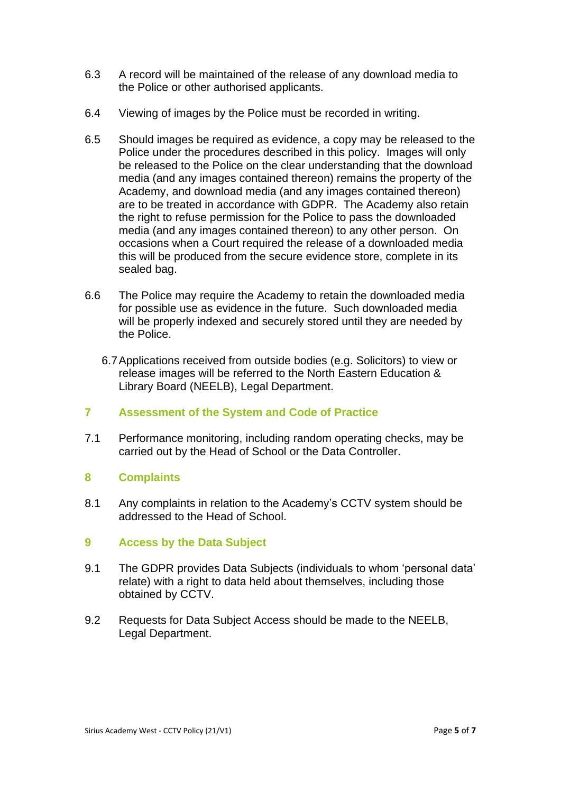- 6.3 A record will be maintained of the release of any download media to the Police or other authorised applicants.
- 6.4 Viewing of images by the Police must be recorded in writing.
- 6.5 Should images be required as evidence, a copy may be released to the Police under the procedures described in this policy. Images will only be released to the Police on the clear understanding that the download media (and any images contained thereon) remains the property of the Academy, and download media (and any images contained thereon) are to be treated in accordance with GDPR. The Academy also retain the right to refuse permission for the Police to pass the downloaded media (and any images contained thereon) to any other person. On occasions when a Court required the release of a downloaded media this will be produced from the secure evidence store, complete in its sealed bag.
- 6.6 The Police may require the Academy to retain the downloaded media for possible use as evidence in the future. Such downloaded media will be properly indexed and securely stored until they are needed by the Police.
	- 6.7Applications received from outside bodies (e.g. Solicitors) to view or release images will be referred to the North Eastern Education & Library Board (NEELB), Legal Department.

## **7 Assessment of the System and Code of Practice**

7.1 Performance monitoring, including random operating checks, may be carried out by the Head of School or the Data Controller.

## **8 Complaints**

8.1 Any complaints in relation to the Academy's CCTV system should be addressed to the Head of School.

## **9 Access by the Data Subject**

- 9.1 The GDPR provides Data Subjects (individuals to whom 'personal data' relate) with a right to data held about themselves, including those obtained by CCTV.
- 9.2 Requests for Data Subject Access should be made to the NEELB, Legal Department.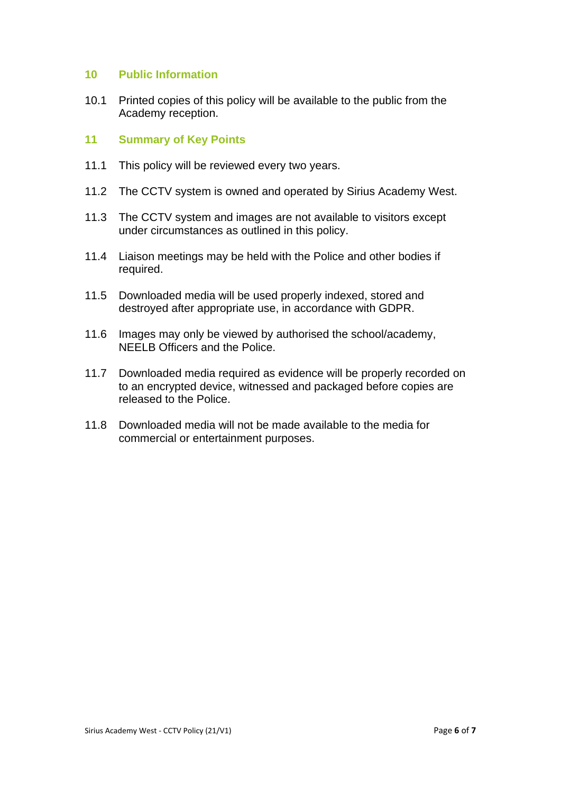#### **10 Public Information**

10.1 Printed copies of this policy will be available to the public from the Academy reception.

#### **11 Summary of Key Points**

- 11.1 This policy will be reviewed every two years.
- 11.2 The CCTV system is owned and operated by Sirius Academy West.
- 11.3 The CCTV system and images are not available to visitors except under circumstances as outlined in this policy.
- 11.4 Liaison meetings may be held with the Police and other bodies if required.
- 11.5 Downloaded media will be used properly indexed, stored and destroyed after appropriate use, in accordance with GDPR.
- 11.6 Images may only be viewed by authorised the school/academy, NEELB Officers and the Police.
- 11.7 Downloaded media required as evidence will be properly recorded on to an encrypted device, witnessed and packaged before copies are released to the Police.
- 11.8 Downloaded media will not be made available to the media for commercial or entertainment purposes.